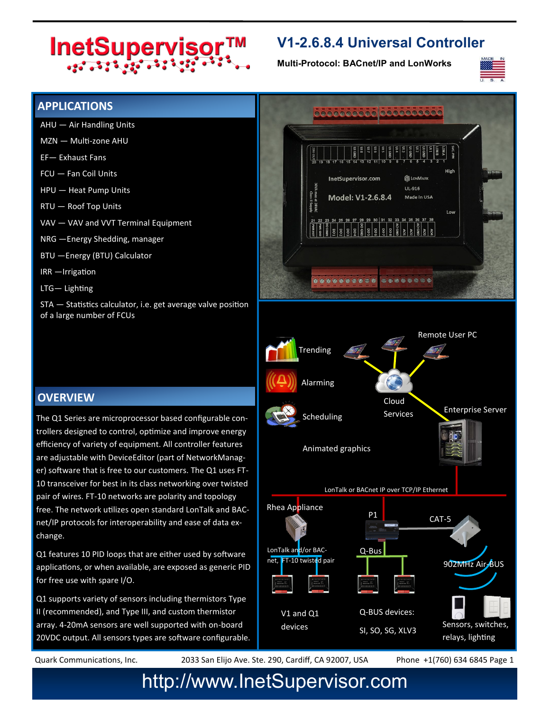# InetSupervisor™

### **V1-2.6.8.4 Universal Controller**

**Multi-Protocol: BACnet/IP and LonWorks**



#### **APPLICATIONS**

- AHU Air Handling Units
- MZN Multi-zone AHU
- EF— Exhaust Fans
- FCU Fan Coil Units
- HPU Heat Pump Units
- RTU Roof Top Units
- VAV VAV and VVT Terminal Equipment
- NRG —Energy Shedding, manager
- BTU —Energy (BTU) Calculator
- IRR —Irrigation
- LTG— Lighting

STA — Statistics calculator, i.e. get average valve position of a large number of FCUs

#### **OVERVIEW**

The Q1 Series are microprocessor based configurable controllers designed to control, optimize and improve energy efficiency of variety of equipment. All controller features are adjustable with DeviceEditor (part of NetworkManager) software that is free to our customers. The Q1 uses FT-10 transceiver for best in its class networking over twisted pair of wires. FT-10 networks are polarity and topology free. The network utilizes open standard LonTalk and BACnet/IP protocols for interoperability and ease of data exchange.

Q1 features 10 PID loops that are either used by software applications, or when available, are exposed as generic PID for free use with spare I/O.

Q1 supports variety of sensors including thermistors Type II (recommended), and Type III, and custom thermistor array. 4-20mA sensors are well supported with on-board 20VDC output. All sensors types are software configurable.



Quark Communications, Inc. 2033 San Elijo Ave. Ste. 290, Cardiff, CA 92007, USA Phone +1(760) 634 6845 Page 1

## http://www.InetSupervisor.com